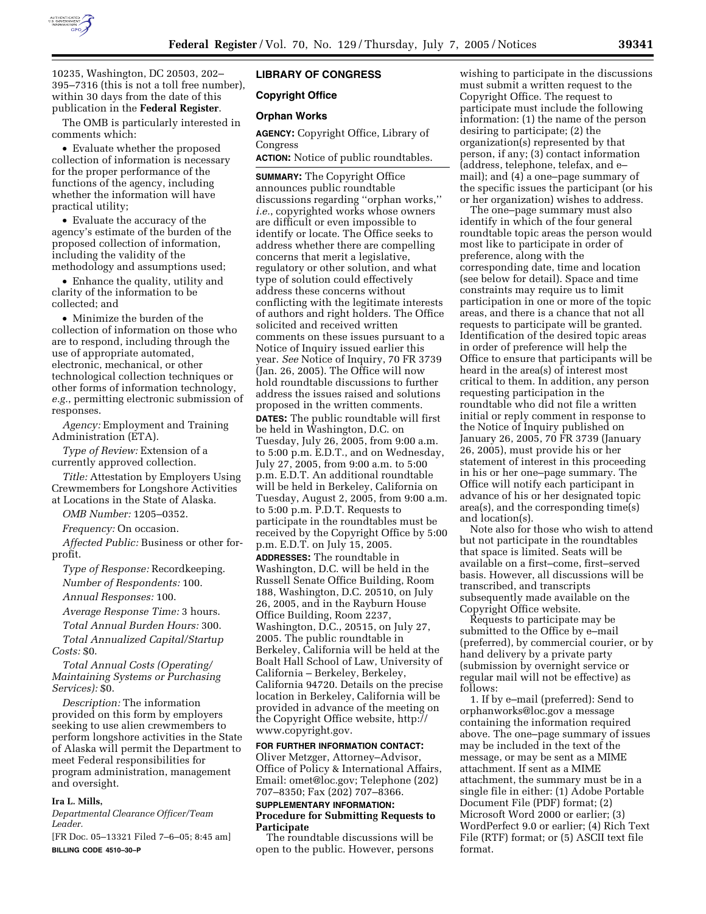

10235, Washington, DC 20503, 202– 395–7316 (this is not a toll free number), within 30 days from the date of this publication in the **Federal Register**.

The OMB is particularly interested in comments which:

• Evaluate whether the proposed collection of information is necessary for the proper performance of the functions of the agency, including whether the information will have practical utility;

• Evaluate the accuracy of the agency's estimate of the burden of the proposed collection of information, including the validity of the methodology and assumptions used;

• Enhance the quality, utility and clarity of the information to be collected; and

• Minimize the burden of the collection of information on those who are to respond, including through the use of appropriate automated, electronic, mechanical, or other technological collection techniques or other forms of information technology, *e.g.*, permitting electronic submission of responses.

*Agency:* Employment and Training Administration (ETA).

*Type of Review:* Extension of a currently approved collection.

*Title:* Attestation by Employers Using Crewmembers for Longshore Activities at Locations in the State of Alaska.

*OMB Number:* 1205–0352.

*Frequency:* On occasion.

*Affected Public:* Business or other forprofit.

*Type of Response:* Recordkeeping. *Number of Respondents:* 100.

*Annual Responses:* 100.

*Average Response Time:* 3 hours.

*Total Annual Burden Hours:* 300.

*Total Annualized Capital/Startup Costs:* \$0.

*Total Annual Costs (Operating/ Maintaining Systems or Purchasing Services):* \$0.

*Description:* The information provided on this form by employers seeking to use alien crewmembers to perform longshore activities in the State of Alaska will permit the Department to meet Federal responsibilities for program administration, management and oversight.

### **Ira L. Mills,**

*Departmental Clearance Officer/Team Leader.*

[FR Doc. 05–13321 Filed 7–6–05; 8:45 am] **BILLING CODE 4510–30–P**

## **LIBRARY OF CONGRESS**

# **Copyright Office**

### **Orphan Works**

**AGENCY:** Copyright Office, Library of Congress

**ACTION:** Notice of public roundtables.

**SUMMARY:** The Copyright Office announces public roundtable discussions regarding ''orphan works,'' *i.e.*, copyrighted works whose owners are difficult or even impossible to identify or locate. The Office seeks to address whether there are compelling concerns that merit a legislative, regulatory or other solution, and what type of solution could effectively address these concerns without conflicting with the legitimate interests of authors and right holders. The Office solicited and received written comments on these issues pursuant to a Notice of Inquiry issued earlier this year. *See* Notice of Inquiry, 70 FR 3739 (Jan. 26, 2005). The Office will now hold roundtable discussions to further address the issues raised and solutions proposed in the written comments. **DATES:** The public roundtable will first be held in Washington, D.C. on Tuesday, July 26, 2005, from 9:00 a.m. to 5:00 p.m. E.D.T., and on Wednesday, July 27, 2005, from 9:00 a.m. to 5:00 p.m. E.D.T. An additional roundtable will be held in Berkeley, California on Tuesday, August 2, 2005, from 9:00 a.m. to 5:00 p.m. P.D.T. Requests to participate in the roundtables must be received by the Copyright Office by 5:00 p.m. E.D.T. on July 15, 2005. **ADDRESSES:** The roundtable in Washington, D.C. will be held in the Russell Senate Office Building, Room 188, Washington, D.C. 20510, on July 26, 2005, and in the Rayburn House Office Building, Room 2237, Washington, D.C., 20515, on July 27, 2005. The public roundtable in Berkeley, California will be held at the Boalt Hall School of Law, University of California – Berkeley, Berkeley, California 94720. Details on the precise location in Berkeley, California will be provided in advance of the meeting on the Copyright Office website, http:// www.copyright.gov.

### **FOR FURTHER INFORMATION CONTACT:**

Oliver Metzger, Attorney–Advisor, Office of Policy & International Affairs, Email: omet@loc.gov; Telephone (202) 707–8350; Fax (202) 707–8366.

### **SUPPLEMENTARY INFORMATION: Procedure for Submitting Requests to Participate**

The roundtable discussions will be open to the public. However, persons

wishing to participate in the discussions must submit a written request to the Copyright Office. The request to participate must include the following information: (1) the name of the person desiring to participate; (2) the organization(s) represented by that person, if any; (3) contact information (address, telephone, telefax, and e– mail); and (4) a one–page summary of the specific issues the participant (or his or her organization) wishes to address.

The one–page summary must also identify in which of the four general roundtable topic areas the person would most like to participate in order of preference, along with the corresponding date, time and location (see below for detail). Space and time constraints may require us to limit participation in one or more of the topic areas, and there is a chance that not all requests to participate will be granted. Identification of the desired topic areas in order of preference will help the Office to ensure that participants will be heard in the area(s) of interest most critical to them. In addition, any person requesting participation in the roundtable who did not file a written initial or reply comment in response to the Notice of Inquiry published on January 26, 2005, 70 FR 3739 (January 26, 2005), must provide his or her statement of interest in this proceeding in his or her one–page summary. The Office will notify each participant in advance of his or her designated topic area(s), and the corresponding time(s) and location(s).

Note also for those who wish to attend but not participate in the roundtables that space is limited. Seats will be available on a first–come, first–served basis. However, all discussions will be transcribed, and transcripts subsequently made available on the Copyright Office website.

Requests to participate may be submitted to the Office by e–mail (preferred), by commercial courier, or by hand delivery by a private party (submission by overnight service or regular mail will not be effective) as follows:

1. If by e–mail (preferred): Send to orphanworks@loc.gov a message containing the information required above. The one–page summary of issues may be included in the text of the message, or may be sent as a MIME attachment. If sent as a MIME attachment, the summary must be in a single file in either: (1) Adobe Portable Document File (PDF) format; (2) Microsoft Word 2000 or earlier; (3) WordPerfect 9.0 or earlier; (4) Rich Text File (RTF) format; or (5) ASCII text file format.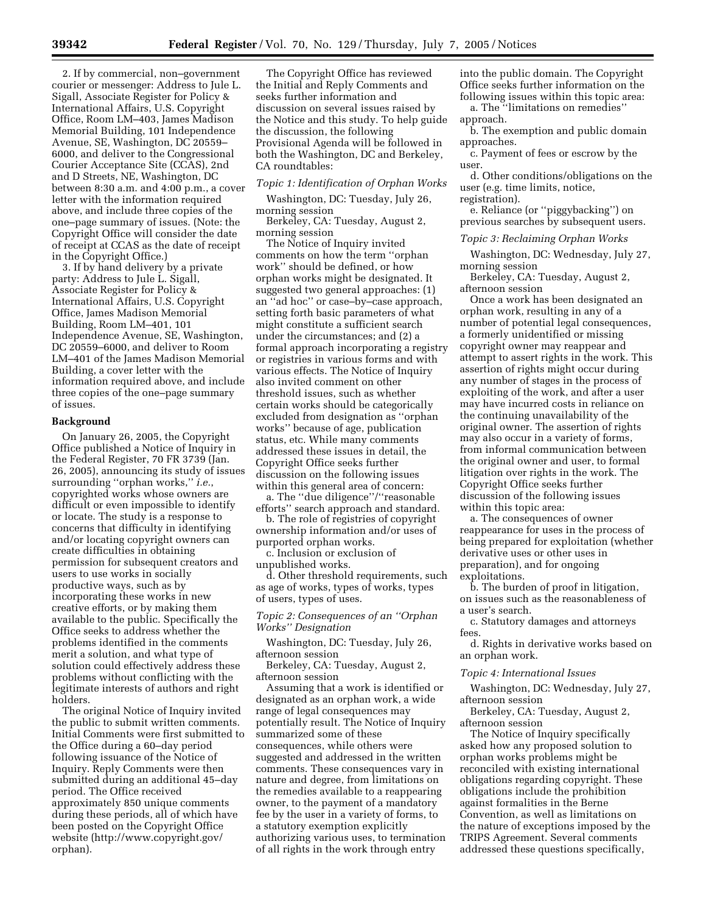2. If by commercial, non–government courier or messenger: Address to Jule L. Sigall, Associate Register for Policy & International Affairs, U.S. Copyright Office, Room LM–403, James Madison Memorial Building, 101 Independence Avenue, SE, Washington, DC 20559– 6000, and deliver to the Congressional Courier Acceptance Site (CCAS), 2nd and D Streets, NE, Washington, DC between 8:30 a.m. and 4:00 p.m., a cover letter with the information required above, and include three copies of the one–page summary of issues. (Note: the Copyright Office will consider the date of receipt at CCAS as the date of receipt in the Copyright Office.)

3. If by hand delivery by a private party: Address to Jule L. Sigall, Associate Register for Policy & International Affairs, U.S. Copyright Office, James Madison Memorial Building, Room LM–401, 101 Independence Avenue, SE, Washington, DC 20559–6000, and deliver to Room LM–401 of the James Madison Memorial Building, a cover letter with the information required above, and include three copies of the one–page summary of issues.

#### **Background**

On January 26, 2005, the Copyright Office published a Notice of Inquiry in the Federal Register, 70 FR 3739 (Jan. 26, 2005), announcing its study of issues surrounding ''orphan works,'' *i.e.*, copyrighted works whose owners are difficult or even impossible to identify or locate. The study is a response to concerns that difficulty in identifying and/or locating copyright owners can create difficulties in obtaining permission for subsequent creators and users to use works in socially productive ways, such as by incorporating these works in new creative efforts, or by making them available to the public. Specifically the Office seeks to address whether the problems identified in the comments merit a solution, and what type of solution could effectively address these problems without conflicting with the legitimate interests of authors and right holders.

The original Notice of Inquiry invited the public to submit written comments. Initial Comments were first submitted to the Office during a 60–day period following issuance of the Notice of Inquiry. Reply Comments were then submitted during an additional 45–day period. The Office received approximately 850 unique comments during these periods, all of which have been posted on the Copyright Office website (http://www.copyright.gov/ orphan).

The Copyright Office has reviewed the Initial and Reply Comments and seeks further information and discussion on several issues raised by the Notice and this study. To help guide the discussion, the following Provisional Agenda will be followed in both the Washington, DC and Berkeley, CA roundtables:

### *Topic 1: Identification of Orphan Works*

Washington, DC: Tuesday, July 26, morning session

Berkeley, CA: Tuesday, August 2, morning session

The Notice of Inquiry invited comments on how the term ''orphan work'' should be defined, or how orphan works might be designated. It suggested two general approaches: (1) an ''ad hoc'' or case–by–case approach, setting forth basic parameters of what might constitute a sufficient search under the circumstances; and (2) a formal approach incorporating a registry or registries in various forms and with various effects. The Notice of Inquiry also invited comment on other threshold issues, such as whether certain works should be categorically excluded from designation as ''orphan works'' because of age, publication status, etc. While many comments addressed these issues in detail, the Copyright Office seeks further discussion on the following issues within this general area of concern:

a. The ''due diligence''/''reasonable efforts'' search approach and standard.

b. The role of registries of copyright ownership information and/or uses of purported orphan works.

c. Inclusion or exclusion of unpublished works.

d. Other threshold requirements, such as age of works, types of works, types of users, types of uses.

*Topic 2: Consequences of an ''Orphan Works'' Designation*

Washington, DC: Tuesday, July 26, afternoon session

Berkeley, CA: Tuesday, August 2, afternoon session

Assuming that a work is identified or designated as an orphan work, a wide range of legal consequences may potentially result. The Notice of Inquiry summarized some of these consequences, while others were suggested and addressed in the written comments. These consequences vary in nature and degree, from limitations on the remedies available to a reappearing owner, to the payment of a mandatory fee by the user in a variety of forms, to a statutory exemption explicitly authorizing various uses, to termination of all rights in the work through entry

into the public domain. The Copyright Office seeks further information on the following issues within this topic area:

a. The ''limitations on remedies'' approach.

b. The exemption and public domain approaches.

c. Payment of fees or escrow by the user.

d. Other conditions/obligations on the user (e.g. time limits, notice, registration).

e. Reliance (or ''piggybacking'') on previous searches by subsequent users.

*Topic 3: Reclaiming Orphan Works*

Washington, DC: Wednesday, July 27, morning session

Berkeley, CA: Tuesday, August 2, afternoon session

Once a work has been designated an orphan work, resulting in any of a number of potential legal consequences, a formerly unidentified or missing copyright owner may reappear and attempt to assert rights in the work. This assertion of rights might occur during any number of stages in the process of exploiting of the work, and after a user may have incurred costs in reliance on the continuing unavailability of the original owner. The assertion of rights may also occur in a variety of forms, from informal communication between the original owner and user, to formal litigation over rights in the work. The Copyright Office seeks further discussion of the following issues within this topic area:

a. The consequences of owner reappearance for uses in the process of being prepared for exploitation (whether derivative uses or other uses in preparation), and for ongoing exploitations.

b. The burden of proof in litigation, on issues such as the reasonableness of a user's search.

c. Statutory damages and attorneys fees.

d. Rights in derivative works based on an orphan work.

#### *Topic 4: International Issues*

Washington, DC: Wednesday, July 27, afternoon session

Berkeley, CA: Tuesday, August 2, afternoon session

The Notice of Inquiry specifically asked how any proposed solution to orphan works problems might be reconciled with existing international obligations regarding copyright. These obligations include the prohibition against formalities in the Berne Convention, as well as limitations on the nature of exceptions imposed by the TRIPS Agreement. Several comments addressed these questions specifically,